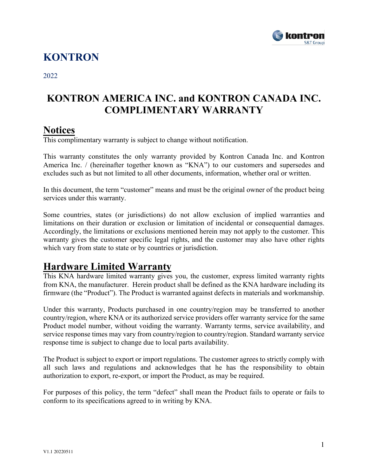

## **KONTRON**

2022

## **KONTRON AMERICA INC. and KONTRON CANADA INC. COMPLIMENTARY WARRANTY**

#### **Notices**

This complimentary warranty is subject to change without notification.

This warranty constitutes the only warranty provided by Kontron Canada Inc. and Kontron America Inc. / (hereinafter together known as "KNA") to our customers and supersedes and excludes such as but not limited to all other documents, information, whether oral or written.

In this document, the term "customer" means and must be the original owner of the product being services under this warranty.

Some countries, states (or jurisdictions) do not allow exclusion of implied warranties and limitations on their duration or exclusion or limitation of incidental or consequential damages. Accordingly, the limitations or exclusions mentioned herein may not apply to the customer. This warranty gives the customer specific legal rights, and the customer may also have other rights which vary from state to state or by countries or jurisdiction.

## **Hardware Limited Warranty**

This KNA hardware limited warranty gives you, the customer, express limited warranty rights from KNA, the manufacturer. Herein product shall be defined as the KNA hardware including its firmware (the "Product"). The Product is warranted against defects in materials and workmanship.

Under this warranty, Products purchased in one country/region may be transferred to another country/region, where KNA or its authorized service providers offer warranty service for the same Product model number, without voiding the warranty. Warranty terms, service availability, and service response times may vary from country/region to country/region. Standard warranty service response time is subject to change due to local parts availability.

The Product is subject to export or import regulations. The customer agrees to strictly comply with all such laws and regulations and acknowledges that he has the responsibility to obtain authorization to export, re-export, or import the Product, as may be required.

For purposes of this policy, the term "defect" shall mean the Product fails to operate or fails to conform to its specifications agreed to in writing by KNA.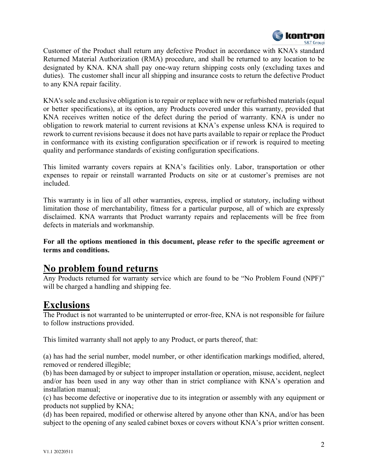

Customer of the Product shall return any defective Product in accordance with KNA's standard Returned Material Authorization (RMA) procedure, and shall be returned to any location to be designated by KNA. KNA shall pay one-way return shipping costs only (excluding taxes and duties). The customer shall incur all shipping and insurance costs to return the defective Product to any KNA repair facility.

KNA's sole and exclusive obligation is to repair or replace with new or refurbished materials (equal or better specifications), at its option, any Products covered under this warranty, provided that KNA receives written notice of the defect during the period of warranty. KNA is under no obligation to rework material to current revisions at KNA's expense unless KNA is required to rework to current revisions because it does not have parts available to repair or replace the Product in conformance with its existing configuration specification or if rework is required to meeting quality and performance standards of existing configuration specifications.

This limited warranty covers repairs at KNA's facilities only. Labor, transportation or other expenses to repair or reinstall warranted Products on site or at customer's premises are not included.

This warranty is in lieu of all other warranties, express, implied or statutory, including without limitation those of merchantability, fitness for a particular purpose, all of which are expressly disclaimed. KNA warrants that Product warranty repairs and replacements will be free from defects in materials and workmanship.

**For all the options mentioned in this document, please refer to the specific agreement or terms and conditions.**

## **No problem found returns**

Any Products returned for warranty service which are found to be "No Problem Found (NPF)" will be charged a handling and shipping fee.

## **Exclusions**

The Product is not warranted to be uninterrupted or error-free, KNA is not responsible for failure to follow instructions provided.

This limited warranty shall not apply to any Product, or parts thereof, that:

(a) has had the serial number, model number, or other identification markings modified, altered, removed or rendered illegible;

(b) has been damaged by or subject to improper installation or operation, misuse, accident, neglect and/or has been used in any way other than in strict compliance with KNA's operation and installation manual;

(c) has become defective or inoperative due to its integration or assembly with any equipment or products not supplied by KNA;

(d) has been repaired, modified or otherwise altered by anyone other than KNA, and/or has been subject to the opening of any sealed cabinet boxes or covers without KNA's prior written consent.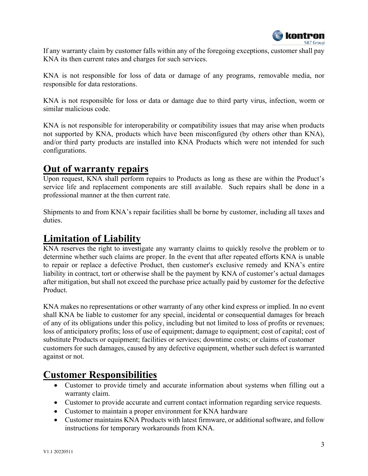

If any warranty claim by customer falls within any of the foregoing exceptions, customer shall pay KNA its then current rates and charges for such services.

KNA is not responsible for loss of data or damage of any programs, removable media, nor responsible for data restorations.

KNA is not responsible for loss or data or damage due to third party virus, infection, worm or similar malicious code.

KNA is not responsible for interoperability or compatibility issues that may arise when products not supported by KNA, products which have been misconfigured (by others other than KNA), and/or third party products are installed into KNA Products which were not intended for such configurations.

## **Out of warranty repairs**

Upon request, KNA shall perform repairs to Products as long as these are within the Product's service life and replacement components are still available. Such repairs shall be done in a professional manner at the then current rate.

Shipments to and from KNA's repair facilities shall be borne by customer, including all taxes and duties.

## **Limitation of Liability**

KNA reserves the right to investigate any warranty claims to quickly resolve the problem or to determine whether such claims are proper. In the event that after repeated efforts KNA is unable to repair or replace a defective Product, then customer's exclusive remedy and KNA's entire liability in contract, tort or otherwise shall be the payment by KNA of customer's actual damages after mitigation, but shall not exceed the purchase price actually paid by customer for the defective Product.

KNA makes no representations or other warranty of any other kind express or implied. In no event shall KNA be liable to customer for any special, incidental or consequential damages for breach of any of its obligations under this policy, including but not limited to loss of profits or revenues; loss of anticipatory profits; loss of use of equipment; damage to equipment; cost of capital; cost of substitute Products or equipment; facilities or services; downtime costs; or claims of customer customers for such damages, caused by any defective equipment, whether such defect is warranted against or not.

## **Customer Responsibilities**

- Customer to provide timely and accurate information about systems when filling out a warranty claim.
- Customer to provide accurate and current contact information regarding service requests.
- Customer to maintain a proper environment for KNA hardware
- Customer maintains KNA Products with latest firmware, or additional software, and follow instructions for temporary workarounds from KNA.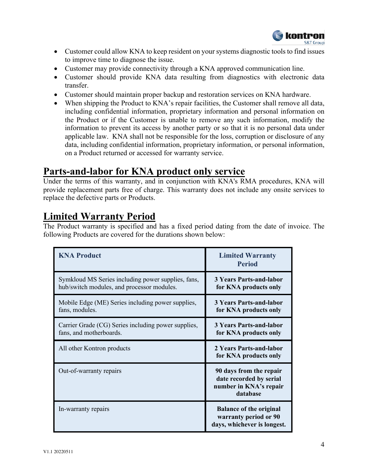

- Customer could allow KNA to keep resident on your systems diagnostic tools to find issues to improve time to diagnose the issue.
- Customer may provide connectivity through a KNA approved communication line.
- Customer should provide KNA data resulting from diagnostics with electronic data transfer.
- Customer should maintain proper backup and restoration services on KNA hardware.
- When shipping the Product to KNA's repair facilities, the Customer shall remove all data, including confidential information, proprietary information and personal information on the Product or if the Customer is unable to remove any such information, modify the information to prevent its access by another party or so that it is no personal data under applicable law. KNA shall not be responsible for the loss, corruption or disclosure of any data, including confidential information, proprietary information, or personal information, on a Product returned or accessed for warranty service.

#### **Parts-and-labor for KNA product only service**

Under the terms of this warranty, and in conjunction with KNA's RMA procedures, KNA will provide replacement parts free of charge. This warranty does not include any onsite services to replace the defective parts or Products.

## **Limited Warranty Period**

The Product warranty is specified and has a fixed period dating from the date of invoice. The following Products are covered for the durations shown below:

| <b>KNA Product</b>                                                                               | <b>Limited Warranty</b><br><b>Period</b>                                                 |
|--------------------------------------------------------------------------------------------------|------------------------------------------------------------------------------------------|
| Symkloud MS Series including power supplies, fans,<br>hub/switch modules, and processor modules. | <b>3 Years Parts-and-labor</b><br>for KNA products only                                  |
| Mobile Edge (ME) Series including power supplies,<br>fans, modules.                              | <b>3 Years Parts-and-labor</b><br>for KNA products only                                  |
| Carrier Grade (CG) Series including power supplies,<br>fans, and motherboards.                   | <b>3 Years Parts-and-labor</b><br>for KNA products only                                  |
| All other Kontron products                                                                       | 2 Years Parts-and-labor<br>for KNA products only                                         |
| Out-of-warranty repairs                                                                          | 90 days from the repair<br>date recorded by serial<br>number in KNA's repair<br>database |
| In-warranty repairs                                                                              | <b>Balance of the original</b><br>warranty period or 90<br>days, whichever is longest.   |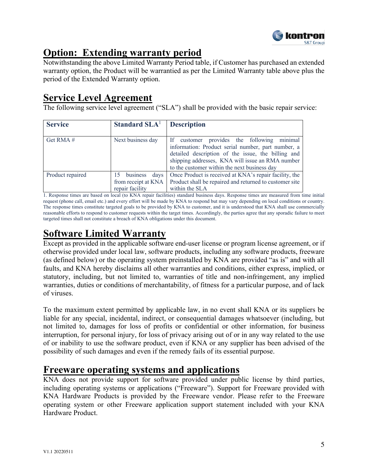

## **Option: Extending warranty period**

Notwithstanding the above Limited Warranty Period table, if Customer has purchased an extended warranty option, the Product will be warrantied as per the Limited Warranty table above plus the period of the Extended Warranty option.

## **Service Level Agreement**

The following service level agreement ("SLA") shall be provided with the basic repair service:

| <b>Service</b>   | Standard SLA <sup>1</sup>                                     | <b>Description</b>                                                                                                                                                                                                                                         |
|------------------|---------------------------------------------------------------|------------------------------------------------------------------------------------------------------------------------------------------------------------------------------------------------------------------------------------------------------------|
| Get RMA #        | Next business day                                             | If customer provides the following minimal<br>information: Product serial number, part number, a<br>detailed description of the issue, the billing and<br>shipping addresses, KNA will issue an RMA number<br>to the customer within the next business day |
| Product repaired | 15 business<br>days<br>from receipt at KNA<br>repair facility | Once Product is received at KNA's repair facility, the<br>Product shall be repaired and returned to customer site<br>within the SLA                                                                                                                        |

1. Response times are based on local (to KNA repair facilities) standard business days. Response times are measured from time initial request (phone call, email etc.) and every effort will be made by KNA to respond but may vary depending on local conditions or country. The response times constitute targeted goals to be provided by KNA to customer, and it is understood that KNA shall use commercially reasonable efforts to respond to customer requests within the target times. Accordingly, the parties agree that any sporadic failure to meet targeted times shall not constitute a breach of KNA obligations under this document.

## **Software Limited Warranty**

Except as provided in the applicable software end-user license or program license agreement, or if otherwise provided under local law, software products, including any software products, freeware (as defined below) or the operating system preinstalled by KNA are provided "as is" and with all faults, and KNA hereby disclaims all other warranties and conditions, either express, implied, or statutory, including, but not limited to, warranties of title and non-infringement, any implied warranties, duties or conditions of merchantability, of fitness for a particular purpose, and of lack of viruses.

To the maximum extent permitted by applicable law, in no event shall KNA or its suppliers be liable for any special, incidental, indirect, or consequential damages whatsoever (including, but not limited to, damages for loss of profits or confidential or other information, for business interruption, for personal injury, for loss of privacy arising out of or in any way related to the use of or inability to use the software product, even if KNA or any supplier has been advised of the possibility of such damages and even if the remedy fails of its essential purpose.

## **Freeware operating systems and applications**

KNA does not provide support for software provided under public license by third parties, including operating systems or applications ("Freeware"). Support for Freeware provided with KNA Hardware Products is provided by the Freeware vendor. Please refer to the Freeware operating system or other Freeware application support statement included with your KNA Hardware Product.